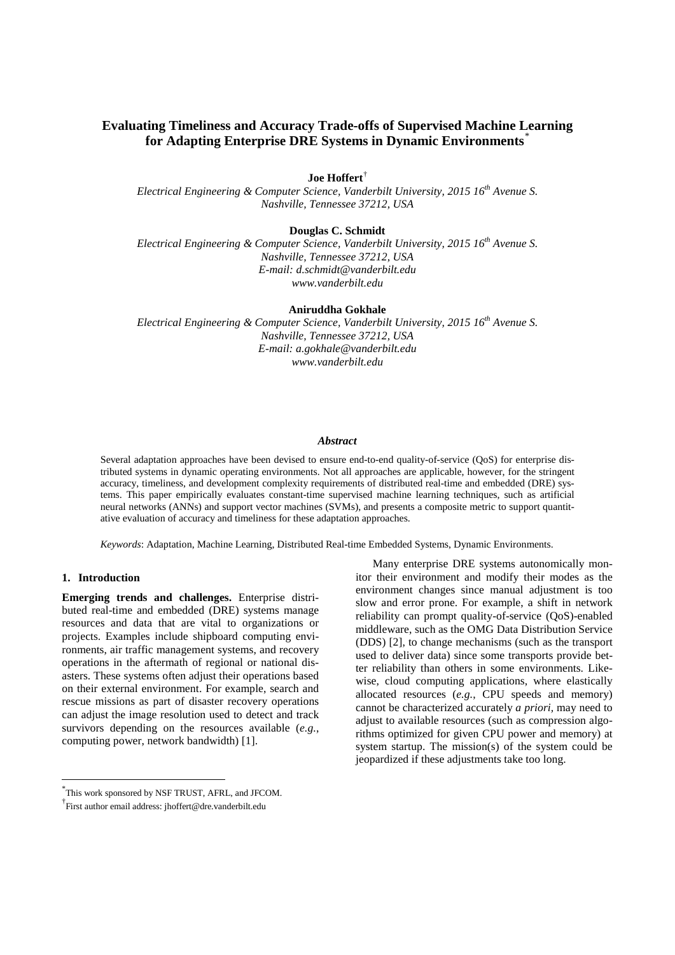# **Evaluating Timeliness and Accuracy Trade-offs of Supervised Machine Learning for Adapting Enterprise DRE Systems in Dynamic Environments**[\\*](#page-0-0)

**Joe Hoffert**[†](#page-0-1)

*Electrical Engineering & Computer Science, Vanderbilt University, 2015 16th Avenue S. Nashville, Tennessee 37212, USA*

**Douglas C. Schmidt**

*Electrical Engineering & Computer Science, Vanderbilt University, 2015 16th Avenue S. Nashville, Tennessee 37212, USA E-mail: d.schmidt@vanderbilt.edu www.vanderbilt.edu*

**Aniruddha Gokhale**

*Electrical Engineering & Computer Science, Vanderbilt University, 2015 16th Avenue S. Nashville, Tennessee 37212, USA E-mail: a.gokhale@vanderbilt.edu www.vanderbilt.edu*

# *Abstract*

Several adaptation approaches have been devised to ensure end-to-end quality-of-service (QoS) for enterprise distributed systems in dynamic operating environments. Not all approaches are applicable, however, for the stringent accuracy, timeliness, and development complexity requirements of distributed real-time and embedded (DRE) systems. This paper empirically evaluates constant-time supervised machine learning techniques, such as artificial neural networks (ANNs) and support vector machines (SVMs), and presents a composite metric to support quantitative evaluation of accuracy and timeliness for these adaptation approaches.

*Keywords*: Adaptation, Machine Learning, Distributed Real-time Embedded Systems, Dynamic Environments.

# **1. Introduction**

**Emerging trends and challenges.** Enterprise distributed real-time and embedded (DRE) systems manage resources and data that are vital to organizations or projects. Examples include shipboard computing environments, air traffic management systems, and recovery operations in the aftermath of regional or national disasters. These systems often adjust their operations based on their external environment. For example, search and rescue missions as part of disaster recovery operations can adjust the image resolution used to detect and track survivors depending on the resources available (*e.g.*, computing power, network bandwidth) [\[1\]](#page-7-0).

 \* This work sponsored by NSF TRUST, AFRL, and JFCOM.

Many enterprise DRE systems autonomically monitor their environment and modify their modes as the environment changes since manual adjustment is too slow and error prone. For example, a shift in network reliability can prompt quality-of-service (QoS)-enabled middleware, such as the OMG Data Distribution Service (DDS) [\[2\]](#page-7-1), to change mechanisms (such as the transport used to deliver data) since some transports provide better reliability than others in some environments. Likewise, cloud computing applications, where elastically allocated resources (*e.g.*, CPU speeds and memory) cannot be characterized accurately *a priori,* may need to adjust to available resources (such as compression algorithms optimized for given CPU power and memory) at system startup. The mission(s) of the system could be jeopardized if these adjustments take too long.

<span id="page-0-1"></span><span id="page-0-0"></span><sup>†</sup> First author email address: jhoffert@dre.vanderbilt.edu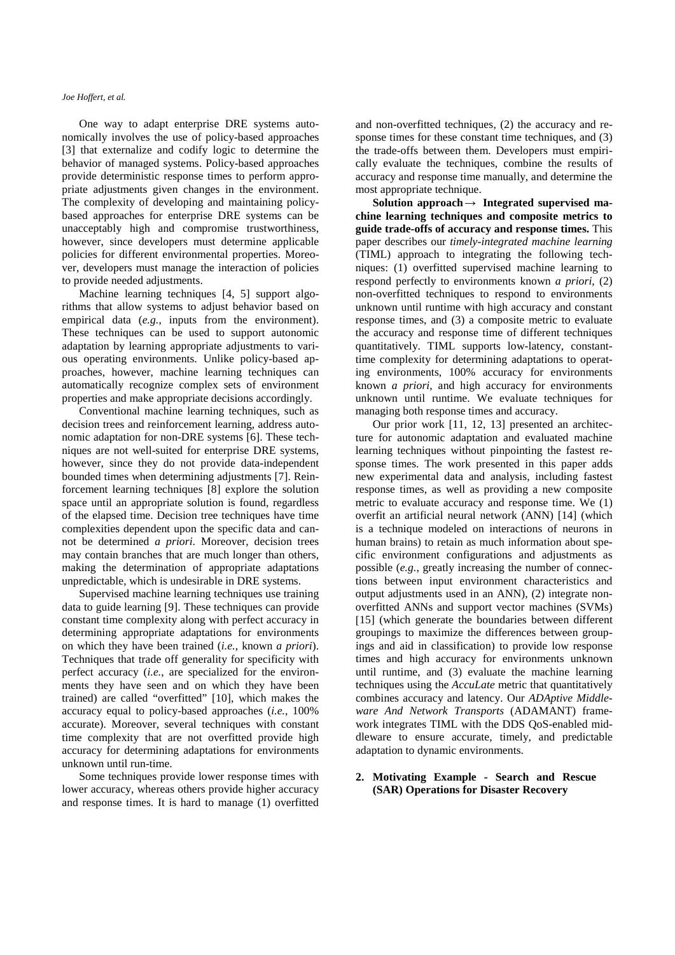One way to adapt enterprise DRE systems autonomically involves the use of policy-based approaches [\[3\]](#page-7-2) that externalize and codify logic to determine the behavior of managed systems. Policy-based approaches provide deterministic response times to perform appropriate adjustments given changes in the environment. The complexity of developing and maintaining policybased approaches for enterprise DRE systems can be unacceptably high and compromise trustworthiness, however, since developers must determine applicable policies for different environmental properties. Moreover, developers must manage the interaction of policies to provide needed adjustments.

Machine learning techniques [\[4,](#page-7-3) [5\]](#page-7-4) support algorithms that allow systems to adjust behavior based on empirical data (*e.g.*, inputs from the environment). These techniques can be used to support autonomic adaptation by learning appropriate adjustments to various operating environments. Unlike policy-based approaches, however, machine learning techniques can automatically recognize complex sets of environment properties and make appropriate decisions accordingly.

Conventional machine learning techniques, such as decision trees and reinforcement learning, address autonomic adaptation for non-DRE systems [\[6\]](#page-7-5). These techniques are not well-suited for enterprise DRE systems, however, since they do not provide data-independent bounded times when determining adjustments [\[7\]](#page-7-6). Reinforcement learning techniques [\[8\]](#page-7-7) explore the solution space until an appropriate solution is found, regardless of the elapsed time. Decision tree techniques have time complexities dependent upon the specific data and cannot be determined *a priori*. Moreover, decision trees may contain branches that are much longer than others, making the determination of appropriate adaptations unpredictable, which is undesirable in DRE systems.

Supervised machine learning techniques use training data to guide learning [\[9\]](#page-7-8). These techniques can provide constant time complexity along with perfect accuracy in determining appropriate adaptations for environments on which they have been trained (*i.e.*, known *a priori*). Techniques that trade off generality for specificity with perfect accuracy (*i.e.*, are specialized for the environments they have seen and on which they have been trained) are called "overfitted" [\[10\]](#page-8-0), which makes the accuracy equal to policy-based approaches (*i.e.*, 100% accurate). Moreover, several techniques with constant time complexity that are not overfitted provide high accuracy for determining adaptations for environments unknown until run-time.

Some techniques provide lower response times with lower accuracy, whereas others provide higher accuracy and response times. It is hard to manage (1) overfitted

and non-overfitted techniques, (2) the accuracy and response times for these constant time techniques, and (3) the trade-offs between them. Developers must empirically evaluate the techniques, combine the results of accuracy and response time manually, and determine the most appropriate technique.

**Solution approach → Integrated supervised machine learning techniques and composite metrics to guide trade-offs of accuracy and response times.** This paper describes our *timely-integrated machine learning* (TIML) approach to integrating the following techniques: (1) overfitted supervised machine learning to respond perfectly to environments known *a priori*, (2) non-overfitted techniques to respond to environments unknown until runtime with high accuracy and constant response times, and (3) a composite metric to evaluate the accuracy and response time of different techniques quantitatively. TIML supports low-latency, constanttime complexity for determining adaptations to operating environments, 100% accuracy for environments known *a priori*, and high accuracy for environments unknown until runtime. We evaluate techniques for managing both response times and accuracy.

Our prior work [\[11,](#page-8-1) [12,](#page-8-2) [13\]](#page-8-3) presented an architecture for autonomic adaptation and evaluated machine learning techniques without pinpointing the fastest response times. The work presented in this paper adds new experimental data and analysis, including fastest response times, as well as providing a new composite metric to evaluate accuracy and response time. We (1) overfit an artificial neural network (ANN) [\[14\]](#page-8-4) (which is a technique modeled on interactions of neurons in human brains) to retain as much information about specific environment configurations and adjustments as possible (*e.g.*, greatly increasing the number of connections between input environment characteristics and output adjustments used in an ANN), (2) integrate nonoverfitted ANNs and support vector machines (SVMs) [\[15\]](#page-8-5) (which generate the boundaries between different groupings to maximize the differences between groupings and aid in classification) to provide low response times and high accuracy for environments unknown until runtime, and (3) evaluate the machine learning techniques using the *AccuLate* metric that quantitatively combines accuracy and latency. Our *ADAptive Middleware And Network Transports* (ADAMANT) framework integrates TIML with the DDS QoS-enabled middleware to ensure accurate, timely, and predictable adaptation to dynamic environments.

# <span id="page-1-0"></span>**2. Motivating Example - Search and Rescue (SAR) Operations for Disaster Recovery**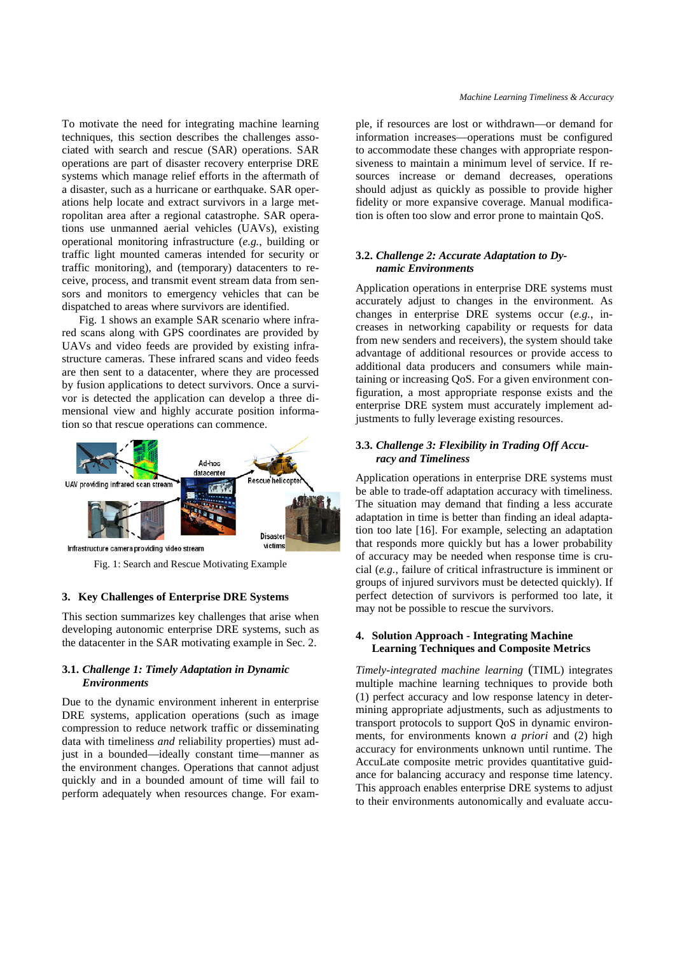To motivate the need for integrating machine learning techniques, this section describes the challenges associated with search and rescue (SAR) operations. SAR operations are part of disaster recovery enterprise DRE systems which manage relief efforts in the aftermath of a disaster, such as a hurricane or earthquake. SAR operations help locate and extract survivors in a large metropolitan area after a regional catastrophe. SAR operations use unmanned aerial vehicles (UAVs), existing operational monitoring infrastructure (*e.g.*, building or traffic light mounted cameras intended for security or traffic monitoring), and (temporary) datacenters to receive, process, and transmit event stream data from sensors and monitors to emergency vehicles that can be dispatched to areas where survivors are identified.

[Fig. 1](#page-2-0) shows an example SAR scenario where infrared scans along with GPS coordinates are provided by UAVs and video feeds are provided by existing infrastructure cameras. These infrared scans and video feeds are then sent to a datacenter, where they are processed by fusion applications to detect survivors. Once a survivor is detected the application can develop a three dimensional view and highly accurate position information so that rescue operations can commence.



<span id="page-2-0"></span>Fig. 1: Search and Rescue Motivating Example

#### <span id="page-2-1"></span>**3. Key Challenges of Enterprise DRE Systems**

This section summarizes key challenges that arise when developing autonomic enterprise DRE systems, such as the datacenter in the SAR motivating example in Sec. [2.](#page-1-0)

### <span id="page-2-2"></span>**3.1.** *Challenge 1: Timely Adaptation in Dynamic Environments*

Due to the dynamic environment inherent in enterprise DRE systems, application operations (such as image compression to reduce network traffic or disseminating data with timeliness *and* reliability properties) must adjust in a bounded—ideally constant time—manner as the environment changes. Operations that cannot adjust quickly and in a bounded amount of time will fail to perform adequately when resources change. For example, if resources are lost or withdrawn—or demand for information increases—operations must be configured to accommodate these changes with appropriate responsiveness to maintain a minimum level of service. If resources increase or demand decreases, operations should adjust as quickly as possible to provide higher fidelity or more expansive coverage. Manual modification is often too slow and error prone to maintain QoS.

# <span id="page-2-3"></span>**3.2.** *Challenge 2: Accurate Adaptation to Dynamic Environments*

Application operations in enterprise DRE systems must accurately adjust to changes in the environment. As changes in enterprise DRE systems occur (*e.g.*, increases in networking capability or requests for data from new senders and receivers), the system should take advantage of additional resources or provide access to additional data producers and consumers while maintaining or increasing QoS. For a given environment configuration, a most appropriate response exists and the enterprise DRE system must accurately implement adjustments to fully leverage existing resources.

# <span id="page-2-4"></span>**3.3.** *Challenge 3: Flexibility in Trading Off Accuracy and Timeliness*

Application operations in enterprise DRE systems must be able to trade-off adaptation accuracy with timeliness. The situation may demand that finding a less accurate adaptation in time is better than finding an ideal adaptation too late [\[16\]](#page-8-6). For example, selecting an adaptation that responds more quickly but has a lower probability of accuracy may be needed when response time is crucial (*e.g.*, failure of critical infrastructure is imminent or groups of injured survivors must be detected quickly). If perfect detection of survivors is performed too late, it may not be possible to rescue the survivors.

## **4. Solution Approach - Integrating Machine Learning Techniques and Composite Metrics**

*Timely-integrated machine learning* (TIML) integrates multiple machine learning techniques to provide both (1) perfect accuracy and low response latency in determining appropriate adjustments, such as adjustments to transport protocols to support QoS in dynamic environments, for environments known *a priori* and (2) high accuracy for environments unknown until runtime. The AccuLate composite metric provides quantitative guidance for balancing accuracy and response time latency. This approach enables enterprise DRE systems to adjust to their environments autonomically and evaluate accu-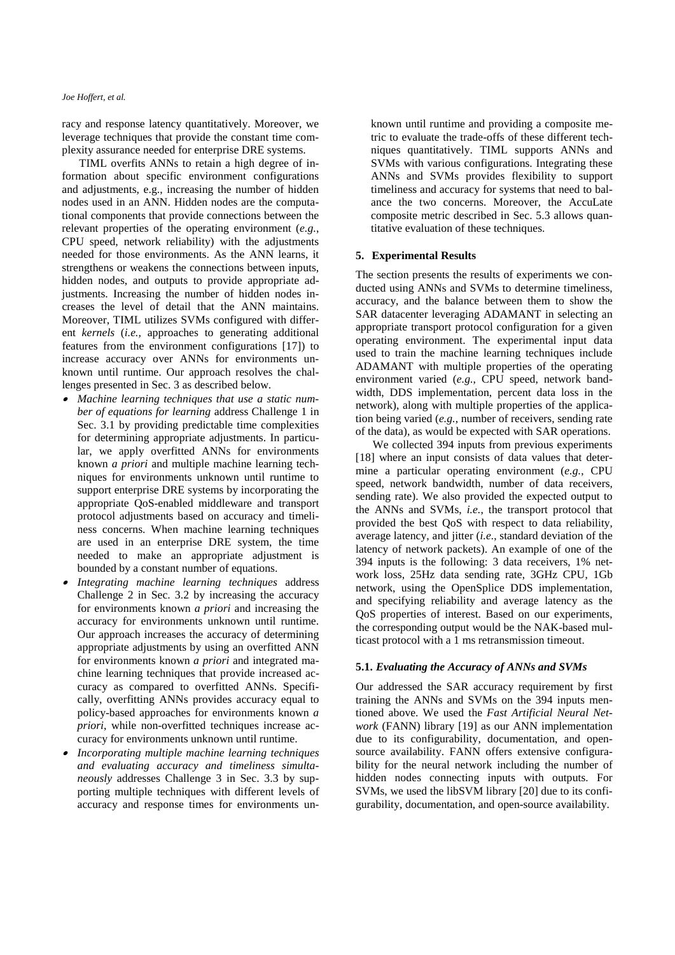racy and response latency quantitatively. Moreover, we leverage techniques that provide the constant time complexity assurance needed for enterprise DRE systems.

TIML overfits ANNs to retain a high degree of information about specific environment configurations and adjustments, e.g., increasing the number of hidden nodes used in an ANN. Hidden nodes are the computational components that provide connections between the relevant properties of the operating environment (*e.g.*, CPU speed, network reliability) with the adjustments needed for those environments. As the ANN learns, it strengthens or weakens the connections between inputs, hidden nodes, and outputs to provide appropriate adjustments. Increasing the number of hidden nodes increases the level of detail that the ANN maintains. Moreover, TIML utilizes SVMs configured with different *kernels* (*i.e.*, approaches to generating additional features from the environment configurations [\[17\]](#page-8-7)) to increase accuracy over ANNs for environments unknown until runtime. Our approach resolves the challenges presented in Sec. [3](#page-2-1) as described below.

- *Machine learning techniques that use a static number of equations for learning* address Challenge 1 in Sec. [3.1](#page-2-2) by providing predictable time complexities for determining appropriate adjustments. In particular, we apply overfitted ANNs for environments known *a priori* and multiple machine learning techniques for environments unknown until runtime to support enterprise DRE systems by incorporating the appropriate QoS-enabled middleware and transport protocol adjustments based on accuracy and timeliness concerns. When machine learning techniques are used in an enterprise DRE system, the time needed to make an appropriate adjustment is bounded by a constant number of equations.
- • *Integrating machine learning techniques* address Challenge 2 in Sec. [3.2](#page-2-3) by increasing the accuracy for environments known *a priori* and increasing the accuracy for environments unknown until runtime. Our approach increases the accuracy of determining appropriate adjustments by using an overfitted ANN for environments known *a priori* and integrated machine learning techniques that provide increased accuracy as compared to overfitted ANNs. Specifically, overfitting ANNs provides accuracy equal to policy-based approaches for environments known *a priori*, while non-overfitted techniques increase accuracy for environments unknown until runtime.
- • *Incorporating multiple machine learning techniques and evaluating accuracy and timeliness simultaneously* addresses Challenge 3 in Sec. [3.3](#page-2-4) by supporting multiple techniques with different levels of accuracy and response times for environments un-

known until runtime and providing a composite metric to evaluate the trade-offs of these different techniques quantitatively. TIML supports ANNs and SVMs with various configurations. Integrating these ANNs and SVMs provides flexibility to support timeliness and accuracy for systems that need to balance the two concerns. Moreover, the AccuLate composite metric described in Sec. [5.3](#page-5-0) allows quantitative evaluation of these techniques.

# **5. Experimental Results**

The section presents the results of experiments we conducted using ANNs and SVMs to determine timeliness, accuracy, and the balance between them to show the SAR datacenter leveraging ADAMANT in selecting an appropriate transport protocol configuration for a given operating environment. The experimental input data used to train the machine learning techniques include ADAMANT with multiple properties of the operating environment varied (*e.g.*, CPU speed, network bandwidth, DDS implementation, percent data loss in the network), along with multiple properties of the application being varied (*e.g.*, number of receivers, sending rate of the data), as would be expected with SAR operations.

We collected 394 inputs from previous experiments [\[18\]](#page-8-8) where an input consists of data values that determine a particular operating environment (*e.g.*, CPU speed, network bandwidth, number of data receivers, sending rate). We also provided the expected output to the ANNs and SVMs, *i.e.*, the transport protocol that provided the best QoS with respect to data reliability, average latency, and jitter (*i.e.*, standard deviation of the latency of network packets). An example of one of the 394 inputs is the following: 3 data receivers, 1% network loss, 25Hz data sending rate, 3GHz CPU, 1Gb network, using the OpenSplice DDS implementation, and specifying reliability and average latency as the QoS properties of interest. Based on our experiments, the corresponding output would be the NAK-based multicast protocol with a 1 ms retransmission timeout.

#### <span id="page-3-0"></span>**5.1.** *Evaluating the Accuracy of ANNs and SVMs*

Our addressed the SAR accuracy requirement by first training the ANNs and SVMs on the 394 inputs mentioned above. We used the *Fast Artificial Neural Network* (FANN) library [\[19\]](#page-8-9) as our ANN implementation due to its configurability, documentation, and opensource availability. FANN offers extensive configurability for the neural network including the number of hidden nodes connecting inputs with outputs. For SVMs, we used the libSVM library [\[20\]](#page-8-10) due to its configurability, documentation, and open-source availability.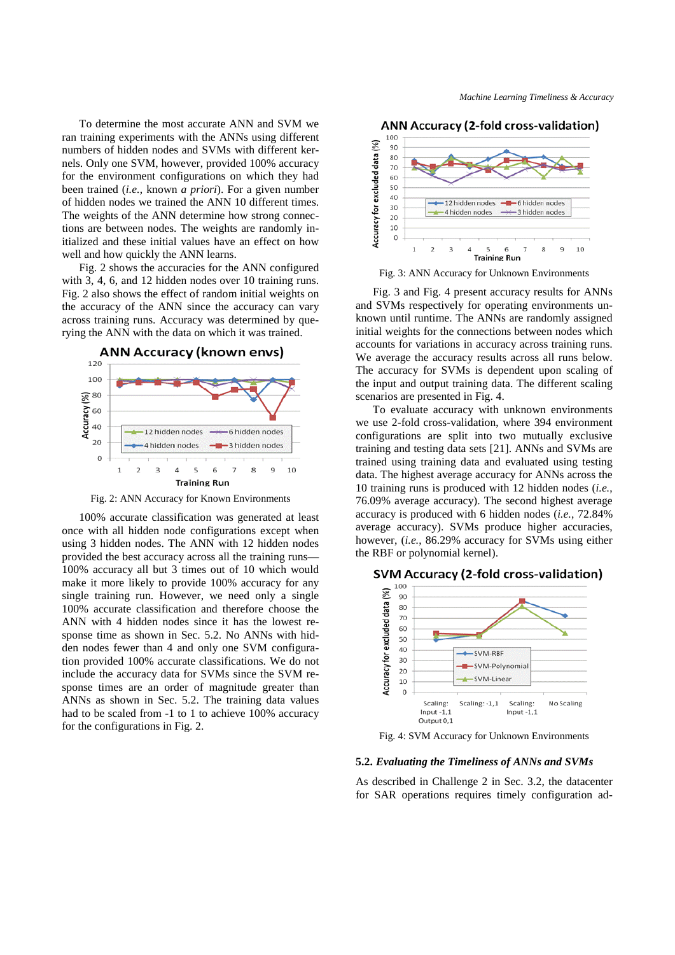To determine the most accurate ANN and SVM we ran training experiments with the ANNs using different numbers of hidden nodes and SVMs with different kernels. Only one SVM, however, provided 100% accuracy for the environment configurations on which they had been trained (*i.e.*, known *a priori*). For a given number of hidden nodes we trained the ANN 10 different times. The weights of the ANN determine how strong connections are between nodes. The weights are randomly initialized and these initial values have an effect on how well and how quickly the ANN learns.

[Fig. 2](#page-4-0) shows the accuracies for the ANN configured with 3, 4, 6, and 12 hidden nodes over 10 training runs. [Fig. 2](#page-4-0) also shows the effect of random initial weights on the accuracy of the ANN since the accuracy can vary across training runs. Accuracy was determined by querying the ANN with the data on which it was trained.



Fig. 2: ANN Accuracy for Known Environments

<span id="page-4-0"></span>100% accurate classification was generated at least once with all hidden node configurations except when using 3 hidden nodes. The ANN with 12 hidden nodes provided the best accuracy across all the training runs— 100% accuracy all but 3 times out of 10 which would make it more likely to provide 100% accuracy for any single training run. However, we need only a single 100% accurate classification and therefore choose the ANN with 4 hidden nodes since it has the lowest response time as shown in Sec. [5.2.](#page-4-1) No ANNs with hidden nodes fewer than 4 and only one SVM configuration provided 100% accurate classifications. We do not include the accuracy data for SVMs since the SVM response times are an order of magnitude greater than ANNs as shown in Sec. [5.2.](#page-4-1) The training data values had to be scaled from -1 to 1 to achieve 100% accuracy for the configurations in [Fig. 2.](#page-4-0)







<span id="page-4-2"></span>Fig. 3: ANN Accuracy for Unknown Environments

[Fig. 3](#page-4-2) and [Fig. 4](#page-4-3) present accuracy results for ANNs and SVMs respectively for operating environments unknown until runtime. The ANNs are randomly assigned initial weights for the connections between nodes which accounts for variations in accuracy across training runs. We average the accuracy results across all runs below. The accuracy for SVMs is dependent upon scaling of the input and output training data. The different scaling scenarios are presented in [Fig. 4.](#page-4-3)

To evaluate accuracy with unknown environments we use 2-fold cross-validation, where 394 environment configurations are split into two mutually exclusive training and testing data sets [\[21\]](#page-8-11). ANNs and SVMs are trained using training data and evaluated using testing data. The highest average accuracy for ANNs across the 10 training runs is produced with 12 hidden nodes (*i.e.*, 76.09% average accuracy). The second highest average accuracy is produced with 6 hidden nodes (*i.e.*, 72.84% average accuracy). SVMs produce higher accuracies, however, (*i.e.*, 86.29% accuracy for SVMs using either the RBF or polynomial kernel).

**SVM Accuracy (2-fold cross-validation)** 



<span id="page-4-3"></span>Fig. 4: SVM Accuracy for Unknown Environments

#### <span id="page-4-1"></span>**5.2.** *Evaluating the Timeliness of ANNs and SVMs*

As described in Challenge 2 in Sec. [3.2,](#page-2-3) the datacenter for SAR operations requires timely configuration ad-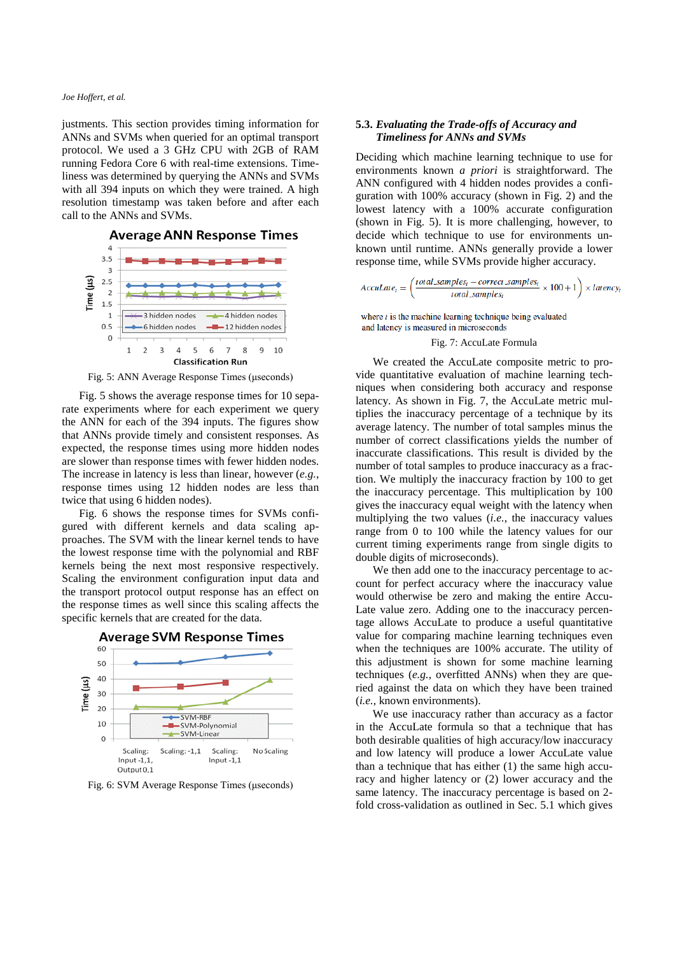justments. This section provides timing information for ANNs and SVMs when queried for an optimal transport protocol. We used a 3 GHz CPU with 2GB of RAM running Fedora Core 6 with real-time extensions. Timeliness was determined by querying the ANNs and SVMs with all 394 inputs on which they were trained. A high resolution timestamp was taken before and after each call to the ANNs and SVMs.



Fig. 5: ANN Average Response Times (μseconds)

<span id="page-5-1"></span>[Fig. 5](#page-5-1) shows the average response times for 10 separate experiments where for each experiment we query the ANN for each of the 394 inputs. The figures show that ANNs provide timely and consistent responses. As expected, the response times using more hidden nodes are slower than response times with fewer hidden nodes. The increase in latency is less than linear, however (*e.g.*, response times using 12 hidden nodes are less than twice that using 6 hidden nodes).

[Fig. 6](#page-5-2) shows the response times for SVMs configured with different kernels and data scaling approaches. The SVM with the linear kernel tends to have the lowest response time with the polynomial and RBF kernels being the next most responsive respectively. Scaling the environment configuration input data and the transport protocol output response has an effect on the response times as well since this scaling affects the specific kernels that are created for the data.



<span id="page-5-2"></span>Fig. 6: SVM Average Response Times (μseconds)

### <span id="page-5-0"></span>**5.3.** *Evaluating the Trade-offs of Accuracy and Timeliness for ANNs and SVMs*

Deciding which machine learning technique to use for environments known *a priori* is straightforward. The ANN configured with 4 hidden nodes provides a configuration with 100% accuracy (shown in [Fig. 2\)](#page-4-0) and the lowest latency with a 100% accurate configuration (shown in [Fig. 5\)](#page-5-1). It is more challenging, however, to decide which technique to use for environments unknown until runtime. ANNs generally provide a lower response time, while SVMs provide higher accuracy.

$$
Accu\text{Late}_{t} = \left(\frac{total\_samples_{t} - correct\_samples_{t}}{total\_samples_{t}} \times 100 + 1\right) \times latency_{t}
$$

where  $t$  is the machine learning technique being evaluated and latency is measured in microseconds

#### Fig. 7: AccuLate Formula

<span id="page-5-3"></span>We created the AccuLate composite metric to provide quantitative evaluation of machine learning techniques when considering both accuracy and response latency. As shown in [Fig. 7,](#page-5-3) the AccuLate metric multiplies the inaccuracy percentage of a technique by its average latency. The number of total samples minus the number of correct classifications yields the number of inaccurate classifications. This result is divided by the number of total samples to produce inaccuracy as a fraction. We multiply the inaccuracy fraction by 100 to get the inaccuracy percentage. This multiplication by 100 gives the inaccuracy equal weight with the latency when multiplying the two values (*i.e.*, the inaccuracy values range from 0 to 100 while the latency values for our current timing experiments range from single digits to double digits of microseconds).

We then add one to the inaccuracy percentage to account for perfect accuracy where the inaccuracy value would otherwise be zero and making the entire Accu-Late value zero. Adding one to the inaccuracy percentage allows AccuLate to produce a useful quantitative value for comparing machine learning techniques even when the techniques are 100% accurate. The utility of this adjustment is shown for some machine learning techniques (*e.g.*, overfitted ANNs) when they are queried against the data on which they have been trained (*i.e.*, known environments).

We use inaccuracy rather than accuracy as a factor in the AccuLate formula so that a technique that has both desirable qualities of high accuracy/low inaccuracy and low latency will produce a lower AccuLate value than a technique that has either (1) the same high accuracy and higher latency or (2) lower accuracy and the same latency. The inaccuracy percentage is based on 2 fold cross-validation as outlined in Sec. [5.1](#page-3-0) which gives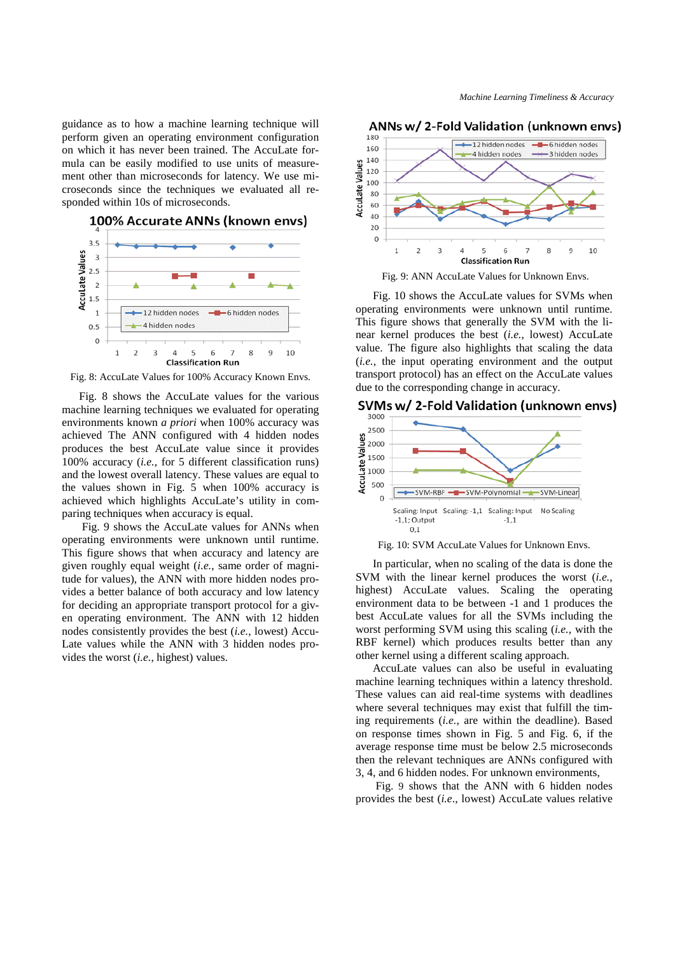guidance as to how a machine learning technique will perform given an operating environment configuration on which it has never been trained. The AccuLate formula can be easily modified to use units of measurement other than microseconds for latency. We use microseconds since the techniques we evaluated all responded within 10s of microseconds.

100% Accurate ANNs (known envs)



<span id="page-6-0"></span>Fig. 8: AccuLate Values for 100% Accuracy Known Envs.

[Fig. 8](#page-6-0) shows the AccuLate values for the various machine learning techniques we evaluated for operating environments known *a priori* when 100% accuracy was achieved The ANN configured with 4 hidden nodes produces the best AccuLate value since it provides 100% accuracy (*i.e.*, for 5 different classification runs) and the lowest overall latency. These values are equal to the values shown in [Fig. 5](#page-5-1) when 100% accuracy is achieved which highlights AccuLate's utility in comparing techniques when accuracy is equal[.](#page-6-1)

[Fig. 9](#page-6-1) shows the AccuLate values for ANNs when operating environments were unknown until runtime. This figure shows that when accuracy and latency are given roughly equal weight (*i.e.*, same order of magnitude for values), the ANN with more hidden nodes provides a better balance of both accuracy and low latency for deciding an appropriate transport protocol for a given operating environment. The ANN with 12 hidden nodes consistently provides the best (*i.e.*, lowest) Accu-Late values while the ANN with 3 hidden nodes provides the worst (*i.e.*, highest) values.

<span id="page-6-1"></span>



Fig. 9: ANN AccuLate Values for Unknown Envs.

[Fig. 10](#page-6-2) shows the AccuLate values for SVMs when operating environments were unknown until runtime. This figure shows that generally the SVM with the linear kernel produces the best (*i.e.*, lowest) AccuLate value. The figure also highlights that scaling the data (*i.e.*, the input operating environment and the output transport protocol) has an effect on the AccuLate values due to the corresponding change in accuracy.





<span id="page-6-2"></span>Fig. 10: SVM AccuLate Values for Unknown Envs.

In particular, when no scaling of the data is done the SVM with the linear kernel produces the worst (*i.e.*, highest) AccuLate values. Scaling the operating environment data to be between -1 and 1 produces the best AccuLate values for all the SVMs including the worst performing SVM using this scaling (*i.e.*, with the RBF kernel) which produces results better than any other kernel using a different scaling approach.

AccuLate values can also be useful in evaluating machine learning techniques within a latency threshold. These values can aid real-time systems with deadlines where several techniques may exist that fulfill the timing requirements (*i.e.*, are within the deadline). Based on response times shown in [Fig.](#page-5-1) 5 and [Fig.](#page-5-2) 6, if the average response time must be below 2.5 microseconds then the relevant techniques are ANNs configured with 3, 4, and 6 hidden nodes. For unknown environments,

[Fig.](#page-6-1) 9 shows that the ANN with 6 hidden nodes provides the best (*i.e*., lowest) AccuLate values relative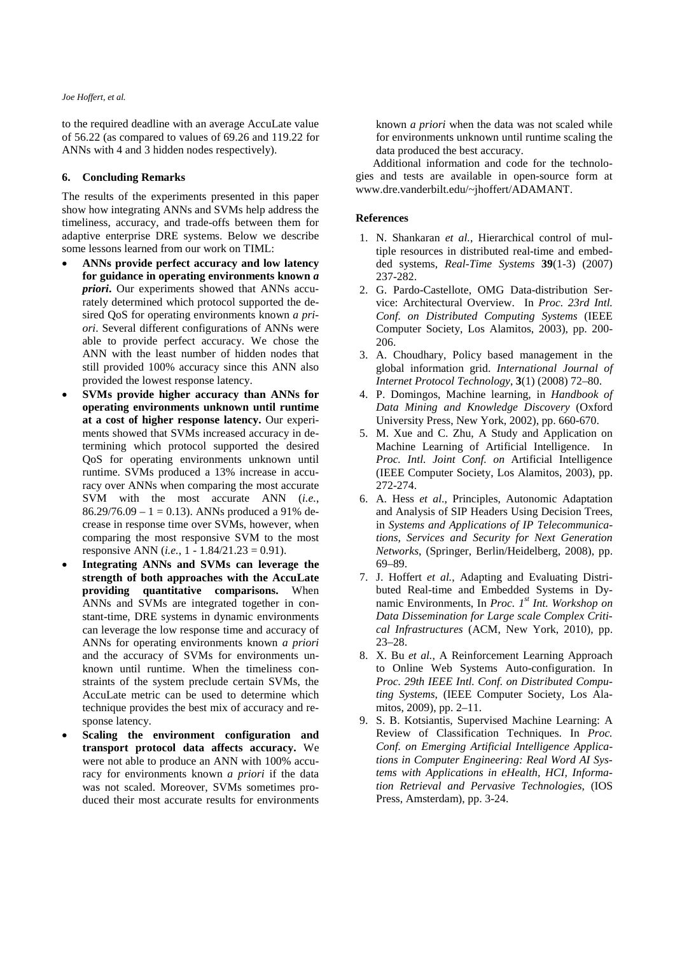to the required deadline with an average AccuLate value of 56.22 (as compared to values of 69.26 and 119.22 for ANNs with 4 and 3 hidden nodes respectively).

### **6. Concluding Remarks**

The results of the experiments presented in this paper show how integrating ANNs and SVMs help address the timeliness, accuracy, and trade-offs between them for adaptive enterprise DRE systems. Below we describe some lessons learned from our work on TIML:

- **ANNs provide perfect accuracy and low latency for guidance in operating environments known** *a priori***.** Our experiments showed that ANNs accurately determined which protocol supported the desired QoS for operating environments known *a priori*. Several different configurations of ANNs were able to provide perfect accuracy. We chose the ANN with the least number of hidden nodes that still provided 100% accuracy since this ANN also provided the lowest response latency.
- **SVMs provide higher accuracy than ANNs for operating environments unknown until runtime at a cost of higher response latency.** Our experiments showed that SVMs increased accuracy in determining which protocol supported the desired QoS for operating environments unknown until runtime. SVMs produced a 13% increase in accuracy over ANNs when comparing the most accurate SVM with the most accurate ANN (*i.e.*,  $86.29/76.09 - 1 = 0.13$ . ANNs produced a 91% decrease in response time over SVMs, however, when comparing the most responsive SVM to the most responsive ANN (*i.e.*, 1 - 1.84/21.23 = 0.91).
- **Integrating ANNs and SVMs can leverage the strength of both approaches with the AccuLate providing quantitative comparisons.** When ANNs and SVMs are integrated together in constant-time, DRE systems in dynamic environments can leverage the low response time and accuracy of ANNs for operating environments known *a priori* and the accuracy of SVMs for environments unknown until runtime. When the timeliness constraints of the system preclude certain SVMs, the AccuLate metric can be used to determine which technique provides the best mix of accuracy and response latency.
- **Scaling the environment configuration and transport protocol data affects accuracy.** We were not able to produce an ANN with 100% accuracy for environments known *a priori* if the data was not scaled. Moreover, SVMs sometimes produced their most accurate results for environments

known *a priori* when the data was not scaled while for environments unknown until runtime scaling the data produced the best accuracy.

Additional information and code for the technologies and tests are available in open-source form at www.dre.vanderbilt.edu/~jhoffert/ADAMANT.

# **References**

- <span id="page-7-0"></span>1. N. Shankaran *et al.*, Hierarchical control of multiple resources in distributed real-time and embedded systems, *Real-Time Systems* **39**(1-3) (2007) 237-282.
- <span id="page-7-1"></span>2. G. Pardo-Castellote, OMG Data-distribution Service: Architectural Overview. In *Proc. 23rd Intl. Conf. on Distributed Computing Systems* (IEEE Computer Society, Los Alamitos, 2003), pp. 200- 206.
- <span id="page-7-2"></span>3. A. Choudhary, Policy based management in the global information grid. *International Journal of Internet Protocol Technology*, **3**(1) (2008) 72–80.
- <span id="page-7-3"></span>4. P. Domingos, Machine learning, in *Handbook of Data Mining and Knowledge Discovery* (Oxford University Press, New York, 2002), pp. 660-670.
- <span id="page-7-4"></span>5. M. Xue and C. Zhu, A Study and Application on Machine Learning of Artificial Intelligence. In *Proc. Intl. Joint Conf. on* Artificial Intelligence (IEEE Computer Society, Los Alamitos, 2003), pp. 272-274.
- <span id="page-7-5"></span>6. A. Hess *et al*., Principles, Autonomic Adaptation and Analysis of SIP Headers Using Decision Trees, in *Systems and Applications of IP Telecommunications, Services and Security for Next Generation Networks*, (Springer, Berlin/Heidelberg, 2008), pp. 69–89.
- <span id="page-7-6"></span>7. J. Hoffert *et al.*, Adapting and Evaluating Distributed Real-time and Embedded Systems in Dynamic Environments, In *Proc. 1st Int. Workshop on Data Dissemination for Large scale Complex Critical Infrastructures* (ACM, New York, 2010), pp. 23–28.
- <span id="page-7-7"></span>8. X. Bu *et al.*, A Reinforcement Learning Approach to Online Web Systems Auto-configuration. In *Proc. 29th IEEE Intl. Conf. on Distributed Computing Systems*, (IEEE Computer Society, Los Alamitos, 2009), pp. 2–11.
- <span id="page-7-8"></span>9. S. B. Kotsiantis, Supervised Machine Learning: A Review of Classification Techniques. In *Proc. Conf. on Emerging Artificial Intelligence Applications in Computer Engineering: Real Word AI Systems with Applications in eHealth, HCI, Information Retrieval and Pervasive Technologies*, (IOS Press, Amsterdam), pp. 3-24.